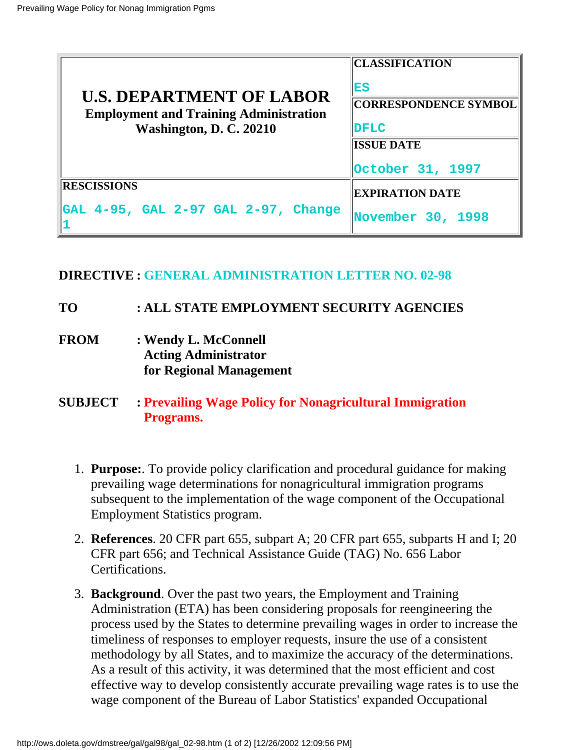| <b>U.S. DEPARTMENT OF LABOR</b><br><b>Employment and Training Administration</b><br>Washington, D. C. 20210 | <b>CLASSIFICATION</b><br><b>ES</b><br><b>CORRESPONDENCE SYMBOL</b><br><b>IDFLC</b><br><b>ISSUE DATE</b><br>October 31, 1997 |
|-------------------------------------------------------------------------------------------------------------|-----------------------------------------------------------------------------------------------------------------------------|
| <b>RESCISSIONS</b>                                                                                          | <b>EXPIRATION DATE</b>                                                                                                      |
| GAL 4-95, GAL 2-97 GAL 2-97, Change                                                                         | November 30, 1998                                                                                                           |

## **DIRECTIVE : GENERAL ADMINISTRATION LETTER NO. 02-98**

## **TO : ALL STATE EMPLOYMENT SECURITY AGENCIES**

- **FROM : Wendy L. McConnell Acting Administrator for Regional Management**
- **SUBJECT : Prevailing Wage Policy for Nonagricultural Immigration Programs.**
	- **Purpose:**. To provide policy clarification and procedural guidance for making 1. prevailing wage determinations for nonagricultural immigration programs subsequent to the implementation of the wage component of the Occupational Employment Statistics program.
	- **References**. 20 CFR part 655, subpart A; 20 CFR part 655, subparts H and I; 20 2. CFR part 656; and Technical Assistance Guide (TAG) No. 656 Labor Certifications.
	- **Background**. Over the past two years, the Employment and Training 3. Administration (ETA) has been considering proposals for reengineering the process used by the States to determine prevailing wages in order to increase the timeliness of responses to employer requests, insure the use of a consistent methodology by all States, and to maximize the accuracy of the determinations. As a result of this activity, it was determined that the most efficient and cost effective way to develop consistently accurate prevailing wage rates is to use the wage component of the Bureau of Labor Statistics' expanded Occupational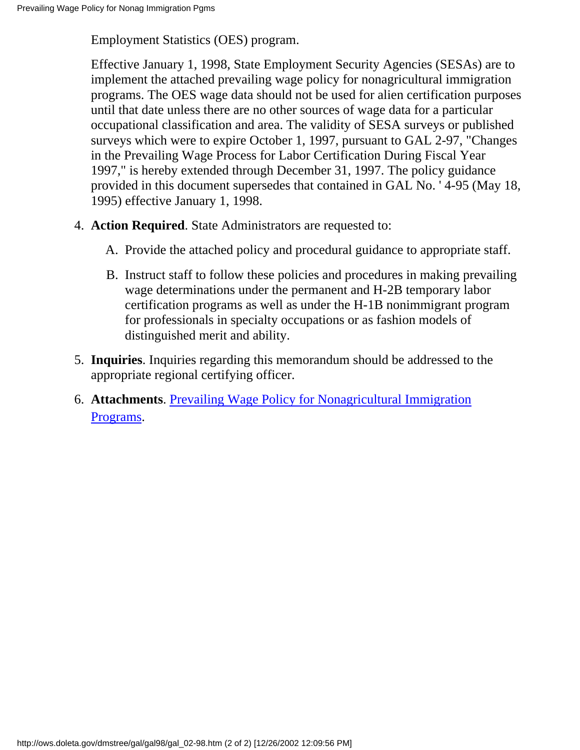Employment Statistics (OES) program.

Effective January 1, 1998, State Employment Security Agencies (SESAs) are to implement the attached prevailing wage policy for nonagricultural immigration programs. The OES wage data should not be used for alien certification purposes until that date unless there are no other sources of wage data for a particular occupational classification and area. The validity of SESA surveys or published surveys which were to expire October 1, 1997, pursuant to GAL 2-97, "Changes in the Prevailing Wage Process for Labor Certification During Fiscal Year 1997," is hereby extended through December 31, 1997. The policy guidance provided in this document supersedes that contained in GAL No. ' 4-95 (May 18, 1995) effective January 1, 1998.

- 4. Action Required. State Administrators are requested to:
	- A. Provide the attached policy and procedural guidance to appropriate staff.
	- B. Instruct staff to follow these policies and procedures in making prevailing wage determinations under the permanent and H-2B temporary labor certification programs as well as under the H-1B nonimmigrant program for professionals in specialty occupations or as fashion models of distinguished merit and ability.
- **Inquiries**. Inquiries regarding this memorandum should be addressed to the 5. appropriate regional certifying officer.
- 6. Attachments. [Prevailing Wage Policy for Nonagricultural Immigration](http://ows.doleta.gov/dmstree/gal/gal98/gal_0298a.pdf) [Programs.](http://ows.doleta.gov/dmstree/gal/gal98/gal_0298a.pdf)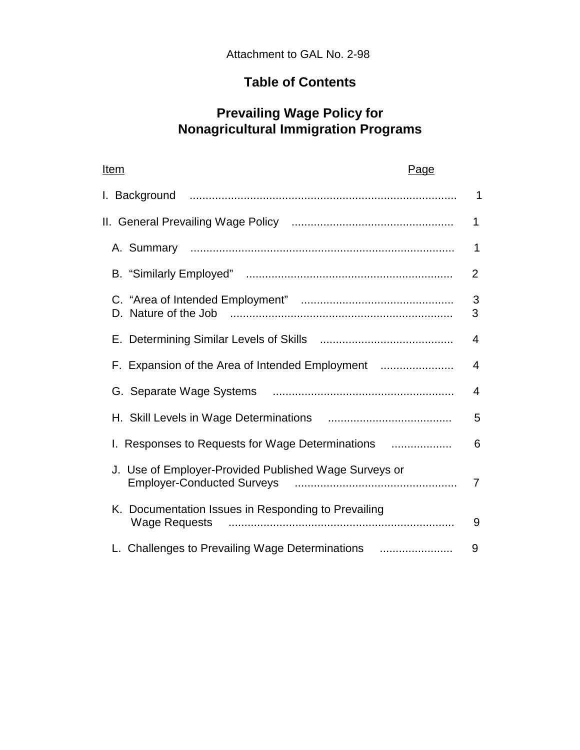# **Table of Contents**

## **Prevailing Wage Policy for Nonagricultural Immigration Programs**

| Item<br>Page                                          |                |
|-------------------------------------------------------|----------------|
|                                                       | $\mathbf 1$    |
|                                                       | $\mathbf 1$    |
|                                                       | 1              |
|                                                       | $\overline{2}$ |
| D. Nature of the Job                                  | 3<br>3         |
|                                                       | 4              |
| F. Expansion of the Area of Intended Employment       | $\overline{4}$ |
|                                                       | $\overline{4}$ |
|                                                       | 5              |
| Responses to Requests for Wage Determinations         | 6              |
| J. Use of Employer-Provided Published Wage Surveys or | $\overline{7}$ |
| K. Documentation Issues in Responding to Prevailing   | 9              |
| L. Challenges to Prevailing Wage Determinations       | 9              |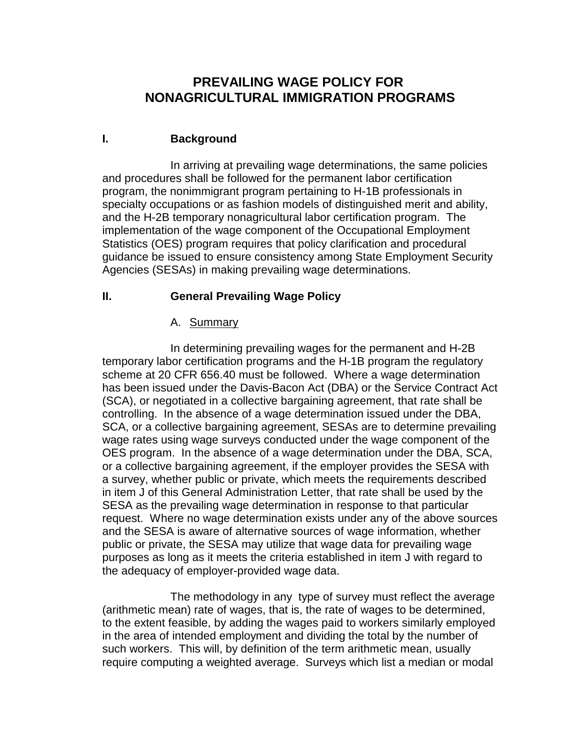## **PREVAILING WAGE POLICY FOR NONAGRICULTURAL IMMIGRATION PROGRAMS**

## **I. Background**

In arriving at prevailing wage determinations, the same policies and procedures shall be followed for the permanent labor certification program, the nonimmigrant program pertaining to H-1B professionals in specialty occupations or as fashion models of distinguished merit and ability, and the H-2B temporary nonagricultural labor certification program. The implementation of the wage component of the Occupational Employment Statistics (OES) program requires that policy clarification and procedural guidance be issued to ensure consistency among State Employment Security Agencies (SESAs) in making prevailing wage determinations.

### **II. General Prevailing Wage Policy**

#### A. Summary

In determining prevailing wages for the permanent and H-2B temporary labor certification programs and the H-1B program the regulatory scheme at 20 CFR 656.40 must be followed. Where a wage determination has been issued under the Davis-Bacon Act (DBA) or the Service Contract Act (SCA), or negotiated in a collective bargaining agreement, that rate shall be controlling. In the absence of a wage determination issued under the DBA, SCA, or a collective bargaining agreement, SESAs are to determine prevailing wage rates using wage surveys conducted under the wage component of the OES program. In the absence of a wage determination under the DBA, SCA, or a collective bargaining agreement, if the employer provides the SESA with a survey, whether public or private, which meets the requirements described in item J of this General Administration Letter, that rate shall be used by the SESA as the prevailing wage determination in response to that particular request. Where no wage determination exists under any of the above sources and the SESA is aware of alternative sources of wage information, whether public or private, the SESA may utilize that wage data for prevailing wage purposes as long as it meets the criteria established in item J with regard to the adequacy of employer-provided wage data.

The methodology in any type of survey must reflect the average (arithmetic mean) rate of wages, that is, the rate of wages to be determined, to the extent feasible, by adding the wages paid to workers similarly employed in the area of intended employment and dividing the total by the number of such workers. This will, by definition of the term arithmetic mean, usually require computing a weighted average. Surveys which list a median or modal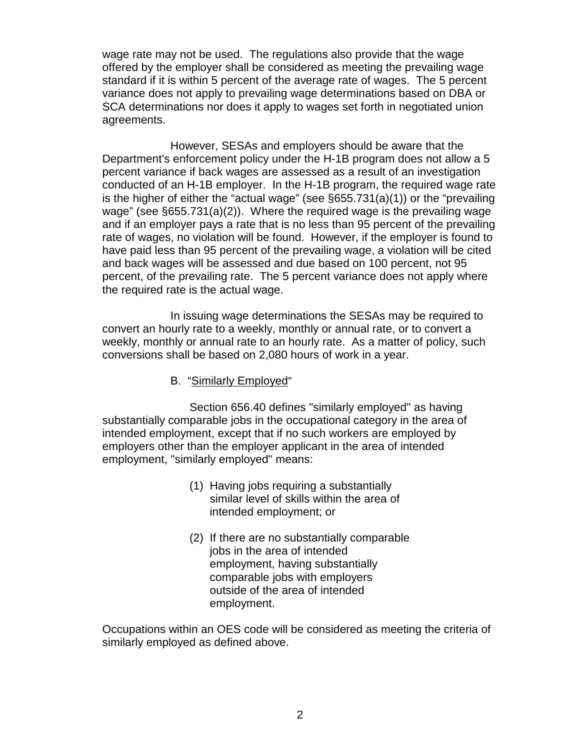wage rate may not be used. The regulations also provide that the wage offered by the employer shall be considered as meeting the prevailing wage standard if it is within 5 percent of the average rate of wages. The 5 percent variance does not apply to prevailing wage determinations based on DBA or SCA determinations nor does it apply to wages set forth in negotiated union agreements.

However, SESAs and employers should be aware that the Department's enforcement policy under the H-1B program does not allow a 5 percent variance if back wages are assessed as a result of an investigation conducted of an H-1B employer. In the H-1B program, the required wage rate is the higher of either the "actual wage" (see §655.731(a)(1)) or the "prevailing wage" (see §655.731(a)(2)). Where the required wage is the prevailing wage and if an employer pays a rate that is no less than 95 percent of the prevailing rate of wages, no violation will be found. However, if the employer is found to have paid less than 95 percent of the prevailing wage, a violation will be cited and back wages will be assessed and due based on 100 percent, not 95 percent, of the prevailing rate. The 5 percent variance does not apply where the required rate is the actual wage.

In issuing wage determinations the SESAs may be required to convert an hourly rate to a weekly, monthly or annual rate, or to convert a weekly, monthly or annual rate to an hourly rate. As a matter of policy, such conversions shall be based on 2,080 hours of work in a year.

B. "Similarly Employed"

Section 656.40 defines "similarly employed" as having substantially comparable jobs in the occupational category in the area of intended employment, except that if no such workers are employed by employers other than the employer applicant in the area of intended employment, "similarly employed" means:

- (1) Having jobs requiring a substantially similar level of skills within the area of intended employment; or
- (2) If there are no substantially comparable jobs in the area of intended employment, having substantially comparable jobs with employers outside of the area of intended employment.

Occupations within an OES code will be considered as meeting the criteria of similarly employed as defined above.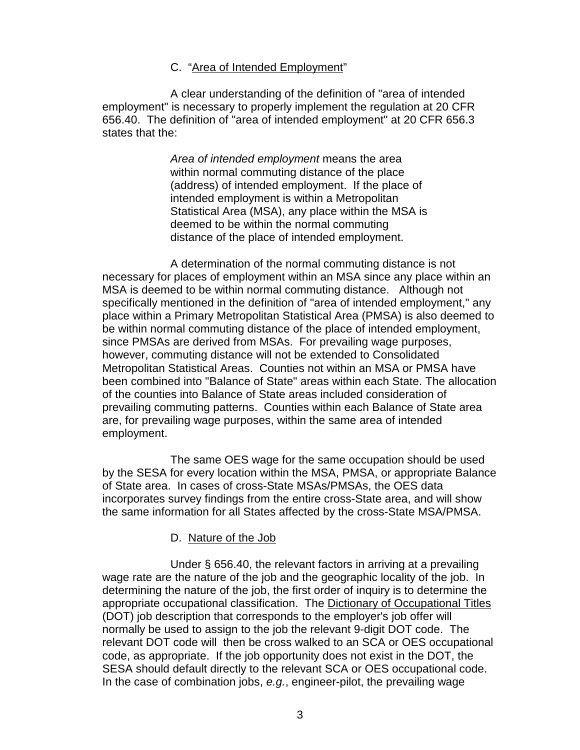#### C. "Area of Intended Employment"

A clear understanding of the definition of "area of intended employment" is necessary to properly implement the regulation at 20 CFR 656.40. The definition of "area of intended employment" at 20 CFR 656.3 states that the:

> *Area of intended employment* means the area within normal commuting distance of the place (address) of intended employment. If the place of intended employment is within a Metropolitan Statistical Area (MSA), any place within the MSA is deemed to be within the normal commuting distance of the place of intended employment.

A determination of the normal commuting distance is not necessary for places of employment within an MSA since any place within an MSA is deemed to be within normal commuting distance. Although not specifically mentioned in the definition of "area of intended employment," any place within a Primary Metropolitan Statistical Area (PMSA) is also deemed to be within normal commuting distance of the place of intended employment, since PMSAs are derived from MSAs. For prevailing wage purposes, however, commuting distance will not be extended to Consolidated Metropolitan Statistical Areas. Counties not within an MSA or PMSA have been combined into "Balance of State" areas within each State. The allocation of the counties into Balance of State areas included consideration of prevailing commuting patterns. Counties within each Balance of State area are, for prevailing wage purposes, within the same area of intended employment.

The same OES wage for the same occupation should be used by the SESA for every location within the MSA, PMSA, or appropriate Balance of State area. In cases of cross-State MSAs/PMSAs, the OES data incorporates survey findings from the entire cross-State area, and will show the same information for all States affected by the cross-State MSA/PMSA.

#### D. Nature of the Job

Under § 656.40, the relevant factors in arriving at a prevailing wage rate are the nature of the job and the geographic locality of the job. In determining the nature of the job, the first order of inquiry is to determine the appropriate occupational classification. The Dictionary of Occupational Titles (DOT) job description that corresponds to the employer's job offer will normally be used to assign to the job the relevant 9-digit DOT code. The relevant DOT code will then be cross walked to an SCA or OES occupational code, as appropriate. If the job opportunity does not exist in the DOT, the SESA should default directly to the relevant SCA or OES occupational code. In the case of combination jobs, *e.g.*, engineer-pilot, the prevailing wage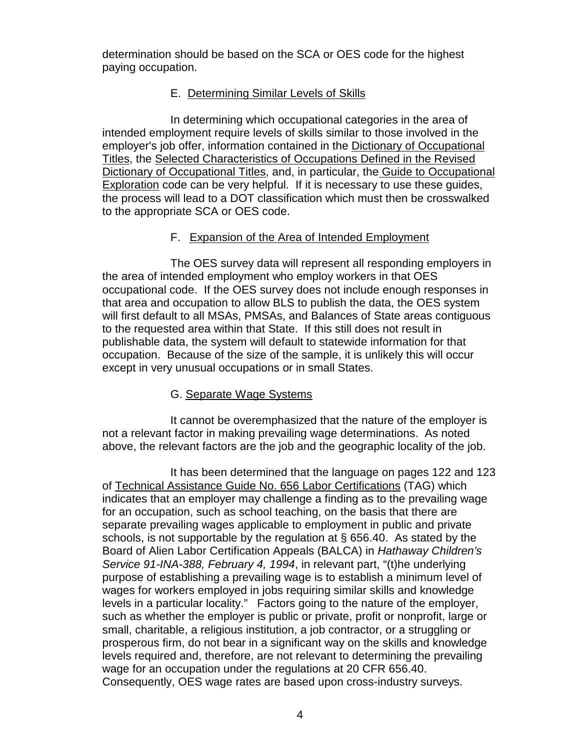determination should be based on the SCA or OES code for the highest paying occupation.

### E. Determining Similar Levels of Skills

In determining which occupational categories in the area of intended employment require levels of skills similar to those involved in the employer's job offer, information contained in the Dictionary of Occupational Titles, the Selected Characteristics of Occupations Defined in the Revised Dictionary of Occupational Titles, and, in particular, the Guide to Occupational Exploration code can be very helpful. If it is necessary to use these guides, the process will lead to a DOT classification which must then be crosswalked to the appropriate SCA or OES code.

### F. Expansion of the Area of Intended Employment

The OES survey data will represent all responding employers in the area of intended employment who employ workers in that OES occupational code. If the OES survey does not include enough responses in that area and occupation to allow BLS to publish the data, the OES system will first default to all MSAs, PMSAs, and Balances of State areas contiguous to the requested area within that State. If this still does not result in publishable data, the system will default to statewide information for that occupation. Because of the size of the sample, it is unlikely this will occur except in very unusual occupations or in small States.

## G. Separate Wage Systems

It cannot be overemphasized that the nature of the employer is not a relevant factor in making prevailing wage determinations. As noted above, the relevant factors are the job and the geographic locality of the job.

It has been determined that the language on pages 122 and 123 of Technical Assistance Guide No. 656 Labor Certifications (TAG) which indicates that an employer may challenge a finding as to the prevailing wage for an occupation, such as school teaching, on the basis that there are separate prevailing wages applicable to employment in public and private schools, is not supportable by the regulation at § 656.40. As stated by the Board of Alien Labor Certification Appeals (BALCA) in *Hathaway Children's Service 91-INA-388, February 4, 1994*, in relevant part, "(t)he underlying purpose of establishing a prevailing wage is to establish a minimum level of wages for workers employed in jobs requiring similar skills and knowledge levels in a particular locality." Factors going to the nature of the employer, such as whether the employer is public or private, profit or nonprofit, large or small, charitable, a religious institution, a job contractor, or a struggling or prosperous firm, do not bear in a significant way on the skills and knowledge levels required and, therefore, are not relevant to determining the prevailing wage for an occupation under the regulations at 20 CFR 656.40. Consequently, OES wage rates are based upon cross-industry surveys.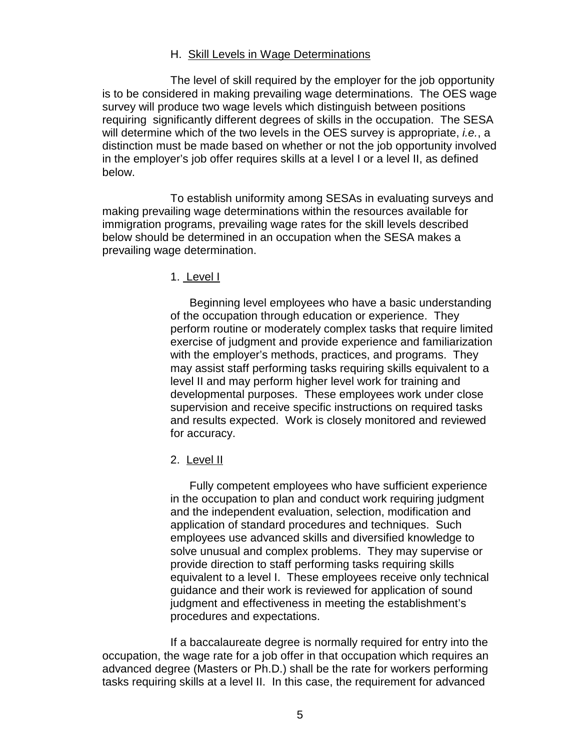#### H. Skill Levels in Wage Determinations

The level of skill required by the employer for the job opportunity is to be considered in making prevailing wage determinations. The OES wage survey will produce two wage levels which distinguish between positions requiring significantly different degrees of skills in the occupation. The SESA will determine which of the two levels in the OES survey is appropriate, *i.e.*, a distinction must be made based on whether or not the job opportunity involved in the employer's job offer requires skills at a level I or a level II, as defined below.

To establish uniformity among SESAs in evaluating surveys and making prevailing wage determinations within the resources available for immigration programs, prevailing wage rates for the skill levels described below should be determined in an occupation when the SESA makes a prevailing wage determination.

1. Level I

Beginning level employees who have a basic understanding of the occupation through education or experience. They perform routine or moderately complex tasks that require limited exercise of judgment and provide experience and familiarization with the employer's methods, practices, and programs. They may assist staff performing tasks requiring skills equivalent to a level II and may perform higher level work for training and developmental purposes. These employees work under close supervision and receive specific instructions on required tasks and results expected. Work is closely monitored and reviewed for accuracy.

2. Level II

Fully competent employees who have sufficient experience in the occupation to plan and conduct work requiring judgment and the independent evaluation, selection, modification and application of standard procedures and techniques. Such employees use advanced skills and diversified knowledge to solve unusual and complex problems. They may supervise or provide direction to staff performing tasks requiring skills equivalent to a level I. These employees receive only technical guidance and their work is reviewed for application of sound judgment and effectiveness in meeting the establishment's procedures and expectations.

If a baccalaureate degree is normally required for entry into the occupation, the wage rate for a job offer in that occupation which requires an advanced degree (Masters or Ph.D.) shall be the rate for workers performing tasks requiring skills at a level II. In this case, the requirement for advanced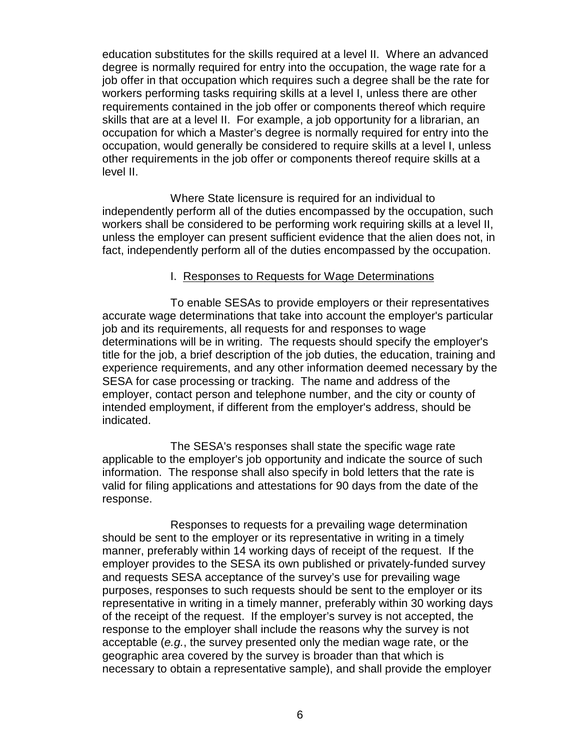education substitutes for the skills required at a level II. Where an advanced degree is normally required for entry into the occupation, the wage rate for a job offer in that occupation which requires such a degree shall be the rate for workers performing tasks requiring skills at a level I, unless there are other requirements contained in the job offer or components thereof which require skills that are at a level II. For example, a job opportunity for a librarian, an occupation for which a Master's degree is normally required for entry into the occupation, would generally be considered to require skills at a level I, unless other requirements in the job offer or components thereof require skills at a level II.

Where State licensure is required for an individual to independently perform all of the duties encompassed by the occupation, such workers shall be considered to be performing work requiring skills at a level II, unless the employer can present sufficient evidence that the alien does not, in fact, independently perform all of the duties encompassed by the occupation.

#### I. Responses to Requests for Wage Determinations

To enable SESAs to provide employers or their representatives accurate wage determinations that take into account the employer's particular job and its requirements, all requests for and responses to wage determinations will be in writing. The requests should specify the employer's title for the job, a brief description of the job duties, the education, training and experience requirements, and any other information deemed necessary by the SESA for case processing or tracking. The name and address of the employer, contact person and telephone number, and the city or county of intended employment, if different from the employer's address, should be indicated.

The SESA's responses shall state the specific wage rate applicable to the employer's job opportunity and indicate the source of such information. The response shall also specify in bold letters that the rate is valid for filing applications and attestations for 90 days from the date of the response.

Responses to requests for a prevailing wage determination should be sent to the employer or its representative in writing in a timely manner, preferably within 14 working days of receipt of the request. If the employer provides to the SESA its own published or privately-funded survey and requests SESA acceptance of the survey's use for prevailing wage purposes, responses to such requests should be sent to the employer or its representative in writing in a timely manner, preferably within 30 working days of the receipt of the request. If the employer's survey is not accepted, the response to the employer shall include the reasons why the survey is not acceptable (*e.g.*, the survey presented only the median wage rate, or the geographic area covered by the survey is broader than that which is necessary to obtain a representative sample), and shall provide the employer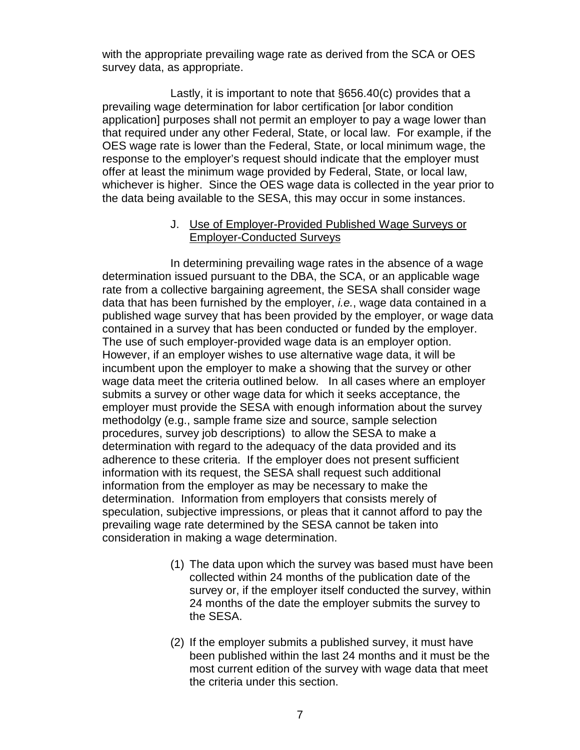with the appropriate prevailing wage rate as derived from the SCA or OES survey data, as appropriate.

Lastly, it is important to note that §656.40(c) provides that a prevailing wage determination for labor certification [or labor condition application] purposes shall not permit an employer to pay a wage lower than that required under any other Federal, State, or local law. For example, if the OES wage rate is lower than the Federal, State, or local minimum wage, the response to the employer's request should indicate that the employer must offer at least the minimum wage provided by Federal, State, or local law, whichever is higher. Since the OES wage data is collected in the year prior to the data being available to the SESA, this may occur in some instances.

#### J. Use of Employer-Provided Published Wage Surveys or Employer-Conducted Surveys

In determining prevailing wage rates in the absence of a wage determination issued pursuant to the DBA, the SCA, or an applicable wage rate from a collective bargaining agreement, the SESA shall consider wage data that has been furnished by the employer, *i.e.*, wage data contained in a published wage survey that has been provided by the employer, or wage data contained in a survey that has been conducted or funded by the employer. The use of such employer-provided wage data is an employer option. However, if an employer wishes to use alternative wage data, it will be incumbent upon the employer to make a showing that the survey or other wage data meet the criteria outlined below. In all cases where an employer submits a survey or other wage data for which it seeks acceptance, the employer must provide the SESA with enough information about the survey methodolgy (e.g., sample frame size and source, sample selection procedures, survey job descriptions) to allow the SESA to make a determination with regard to the adequacy of the data provided and its adherence to these criteria. If the employer does not present sufficient information with its request, the SESA shall request such additional information from the employer as may be necessary to make the determination. Information from employers that consists merely of speculation, subjective impressions, or pleas that it cannot afford to pay the prevailing wage rate determined by the SESA cannot be taken into consideration in making a wage determination.

- (1) The data upon which the survey was based must have been collected within 24 months of the publication date of the survey or, if the employer itself conducted the survey, within 24 months of the date the employer submits the survey to the SESA.
- (2) If the employer submits a published survey, it must have been published within the last 24 months and it must be the most current edition of the survey with wage data that meet the criteria under this section.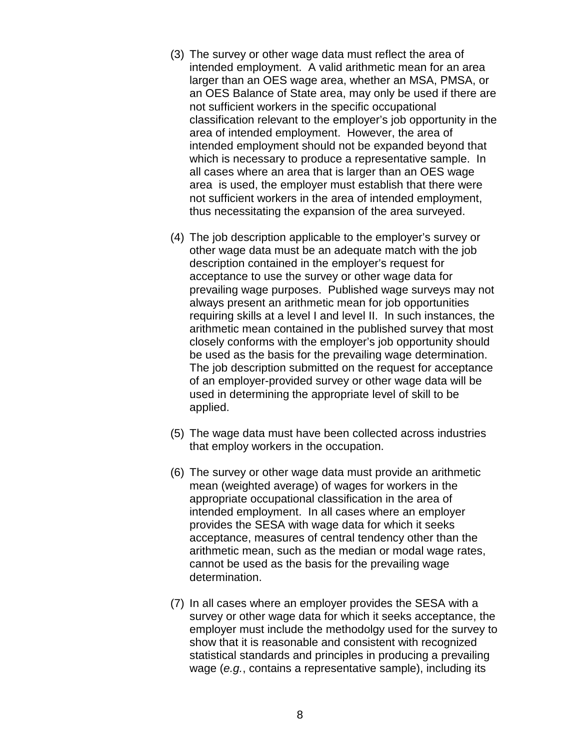- (3) The survey or other wage data must reflect the area of intended employment. A valid arithmetic mean for an area larger than an OES wage area, whether an MSA, PMSA, or an OES Balance of State area, may only be used if there are not sufficient workers in the specific occupational classification relevant to the employer's job opportunity in the area of intended employment. However, the area of intended employment should not be expanded beyond that which is necessary to produce a representative sample. In all cases where an area that is larger than an OES wage area is used, the employer must establish that there were not sufficient workers in the area of intended employment, thus necessitating the expansion of the area surveyed.
- (4) The job description applicable to the employer's survey or other wage data must be an adequate match with the job description contained in the employer's request for acceptance to use the survey or other wage data for prevailing wage purposes. Published wage surveys may not always present an arithmetic mean for job opportunities requiring skills at a level I and level II. In such instances, the arithmetic mean contained in the published survey that most closely conforms with the employer's job opportunity should be used as the basis for the prevailing wage determination. The job description submitted on the request for acceptance of an employer-provided survey or other wage data will be used in determining the appropriate level of skill to be applied.
- (5) The wage data must have been collected across industries that employ workers in the occupation.
- (6) The survey or other wage data must provide an arithmetic mean (weighted average) of wages for workers in the appropriate occupational classification in the area of intended employment. In all cases where an employer provides the SESA with wage data for which it seeks acceptance, measures of central tendency other than the arithmetic mean, such as the median or modal wage rates, cannot be used as the basis for the prevailing wage determination.
- (7) In all cases where an employer provides the SESA with a survey or other wage data for which it seeks acceptance, the employer must include the methodolgy used for the survey to show that it is reasonable and consistent with recognized statistical standards and principles in producing a prevailing wage (*e.g.*, contains a representative sample), including its